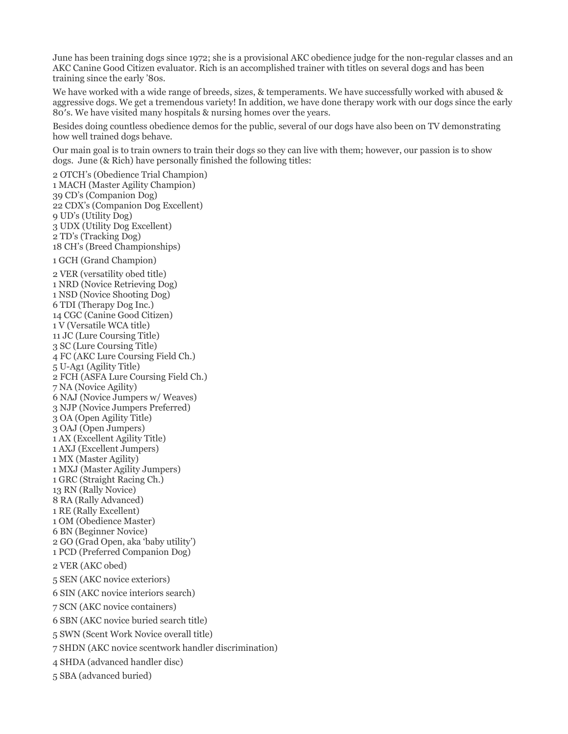June has been training dogs since 1972; she is a provisional AKC obedience judge for the non-regular classes and an AKC Canine Good Citizen evaluator. Rich is an accomplished trainer with titles on several dogs and has been training since the early '80s.

We have worked with a wide range of breeds, sizes, & temperaments. We have successfully worked with abused & aggressive dogs. We get a tremendous variety! In addition, we have done therapy work with our dogs since the early 80′s. We have visited many hospitals & nursing homes over the years.

Besides doing countless obedience demos for the public, several of our dogs have also been on TV demonstrating how well trained dogs behave.

Our main goal is to train owners to train their dogs so they can live with them; however, our passion is to show dogs. June (& Rich) have personally finished the following titles:

2 OTCH's (Obedience Trial Champion) 1 MACH (Master Agility Champion) 39 CD's (Companion Dog) 22 CDX's (Companion Dog Excellent) 9 UD's (Utility Dog) 3 UDX (Utility Dog Excellent) 2 TD's (Tracking Dog) 18 CH's (Breed Championships)

1 GCH (Grand Champion)

2 VER (versatility obed title) 1 NRD (Novice Retrieving Dog) 1 NSD (Novice Shooting Dog) 6 TDI (Therapy Dog Inc.) 14 CGC (Canine Good Citizen) 1 V (Versatile WCA title) 11 JC (Lure Coursing Title) 3 SC (Lure Coursing Title) 4 FC (AKC Lure Coursing Field Ch.) 5 U-Ag1 (Agility Title) 2 FCH (ASFA Lure Coursing Field Ch.) 7 NA (Novice Agility) 6 NAJ (Novice Jumpers w/ Weaves) 3 NJP (Novice Jumpers Preferred) 3 OA (Open Agility Title) 3 OAJ (Open Jumpers) 1 AX (Excellent Agility Title) 1 AXJ (Excellent Jumpers) 1 MX (Master Agility) 1 MXJ (Master Agility Jumpers) 1 GRC (Straight Racing Ch.) 13 RN (Rally Novice) 8 RA (Rally Advanced) 1 RE (Rally Excellent) 1 OM (Obedience Master) 6 BN (Beginner Novice) 2 GO (Grad Open, aka 'baby utility') 1 PCD (Preferred Companion Dog) 2 VER (AKC obed) 5 SEN (AKC novice exteriors) 6 SIN (AKC novice interiors search) 7 SCN (AKC novice containers) 6 SBN (AKC novice buried search title) 5 SWN (Scent Work Novice overall title) 7 SHDN (AKC novice scentwork handler discrimination) 4 SHDA (advanced handler disc) 5 SBA (advanced buried)